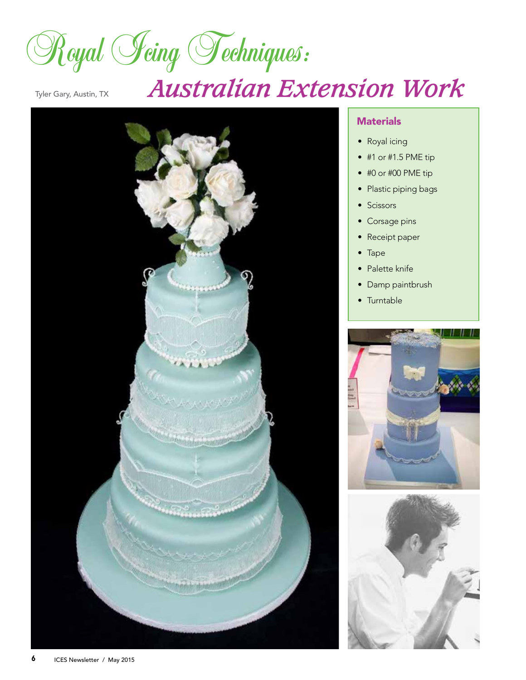Royal *Jeing* Techniques:

# Tyler Gary, Austin, TX *Australian Extension Work*



## **Materials**

- Royal icing
- #1 or #1.5 PME tip
- #0 or #00 PME tip
- Plastic piping bags
- Scissors
- Corsage pins
- Receipt paper
- Tape
- Palette knife
- Damp paintbrush
- Turntable